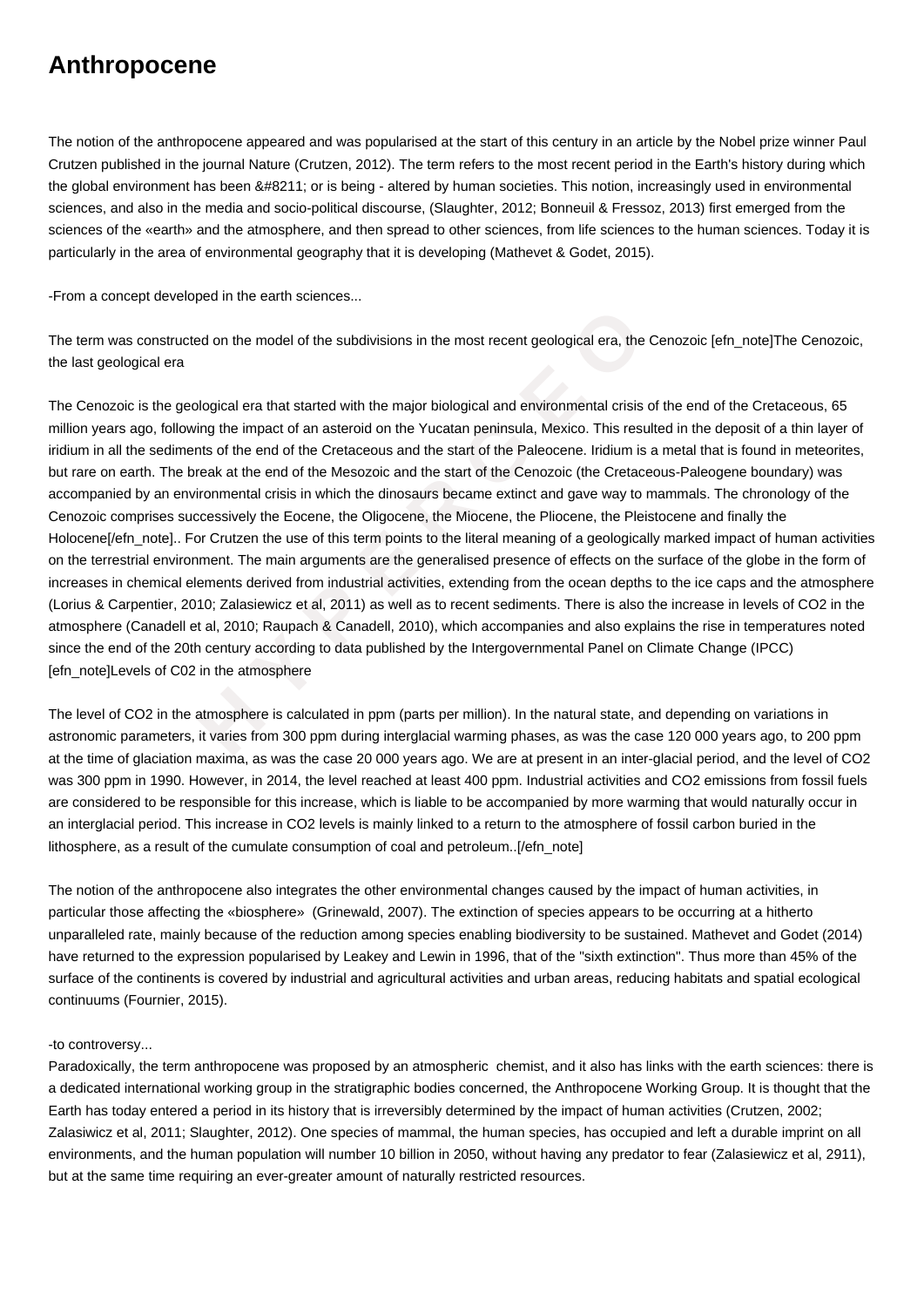## **Anthropocene**

The notion of the anthropocene appeared and was popularised at the start of this century in an article by the Nobel prize winner Paul Crutzen published in the journal Nature (Crutzen, 2012). The term refers to the most recent period in the Earth's history during which the global environment has been – or is being - altered by human societies. This notion, increasingly used in environmental sciences, and also in the media and socio-political discourse, (Slaughter, 2012; Bonneuil & Fressoz, 2013) first emerged from the sciences of the «earth» and the atmosphere, and then spread to other sciences, from life sciences to the human sciences. Today it is particularly in the area of environmental geography that it is developing (Mathevet & Godet, 2015).

-From a concept developed in the earth sciences...

The term was constructed on the model of the subdivisions in the most recent geological era, the Cenozoic [efn\_note]The Cenozoic, the last geological era

nstructed on the model of the subdivisions in the most recent geological era, the Ce<br>al era<br>the geological era that started with the major biological and environmental crisis of the<br>following the impact of an asteroid on t The Cenozoic is the geological era that started with the major biological and environmental crisis of the end of the Cretaceous, 65 million years ago, following the impact of an asteroid on the Yucatan peninsula, Mexico. This resulted in the deposit of a thin layer of iridium in all the sediments of the end of the Cretaceous and the start of the Paleocene. Iridium is a metal that is found in meteorites, but rare on earth. The break at the end of the Mesozoic and the start of the Cenozoic (the Cretaceous-Paleogene boundary) was accompanied by an environmental crisis in which the dinosaurs became extinct and gave way to mammals. The chronology of the Cenozoic comprises successively the Eocene, the Oligocene, the Miocene, the Pliocene, the Pleistocene and finally the Holocene[/efn\_note].. For Crutzen the use of this term points to the literal meaning of a geologically marked impact of human activities on the terrestrial environment. The main arguments are the generalised presence of effects on the surface of the globe in the form of increases in chemical elements derived from industrial activities, extending from the ocean depths to the ice caps and the atmosphere (Lorius & Carpentier, 2010; Zalasiewicz et al, 2011) as well as to recent sediments. There is also the increase in levels of CO2 in the atmosphere (Canadell et al, 2010; Raupach & Canadell, 2010), which accompanies and also explains the rise in temperatures noted since the end of the 20th century according to data published by the Intergovernmental Panel on Climate Change (IPCC) [efn\_note]Levels of C02 in the atmosphere

The level of CO2 in the atmosphere is calculated in ppm (parts per million). In the natural state, and depending on variations in astronomic parameters, it varies from 300 ppm during interglacial warming phases, as was the case 120 000 years ago, to 200 ppm at the time of glaciation maxima, as was the case 20 000 years ago. We are at present in an inter-glacial period, and the level of CO2 was 300 ppm in 1990. However, in 2014, the level reached at least 400 ppm. Industrial activities and CO2 emissions from fossil fuels are considered to be responsible for this increase, which is liable to be accompanied by more warming that would naturally occur in an interglacial period. This increase in CO2 levels is mainly linked to a return to the atmosphere of fossil carbon buried in the lithosphere, as a result of the cumulate consumption of coal and petroleum..[/efn\_note]

The notion of the anthropocene also integrates the other environmental changes caused by the impact of human activities, in particular those affecting the «biosphere» (Grinewald, 2007). The extinction of species appears to be occurring at a hitherto unparalleled rate, mainly because of the reduction among species enabling biodiversity to be sustained. Mathevet and Godet (2014) have returned to the expression popularised by Leakey and Lewin in 1996, that of the "sixth extinction". Thus more than 45% of the surface of the continents is covered by industrial and agricultural activities and urban areas, reducing habitats and spatial ecological continuums (Fournier, 2015).

## -to controversy...

Paradoxically, the term anthropocene was proposed by an atmospheric chemist, and it also has links with the earth sciences: there is a dedicated international working group in the stratigraphic bodies concerned, the Anthropocene Working Group. It is thought that the Earth has today entered a period in its history that is irreversibly determined by the impact of human activities (Crutzen, 2002; Zalasiwicz et al, 2011; Slaughter, 2012). One species of mammal, the human species, has occupied and left a durable imprint on all environments, and the human population will number 10 billion in 2050, without having any predator to fear (Zalasiewicz et al, 2911), but at the same time requiring an ever-greater amount of naturally restricted resources.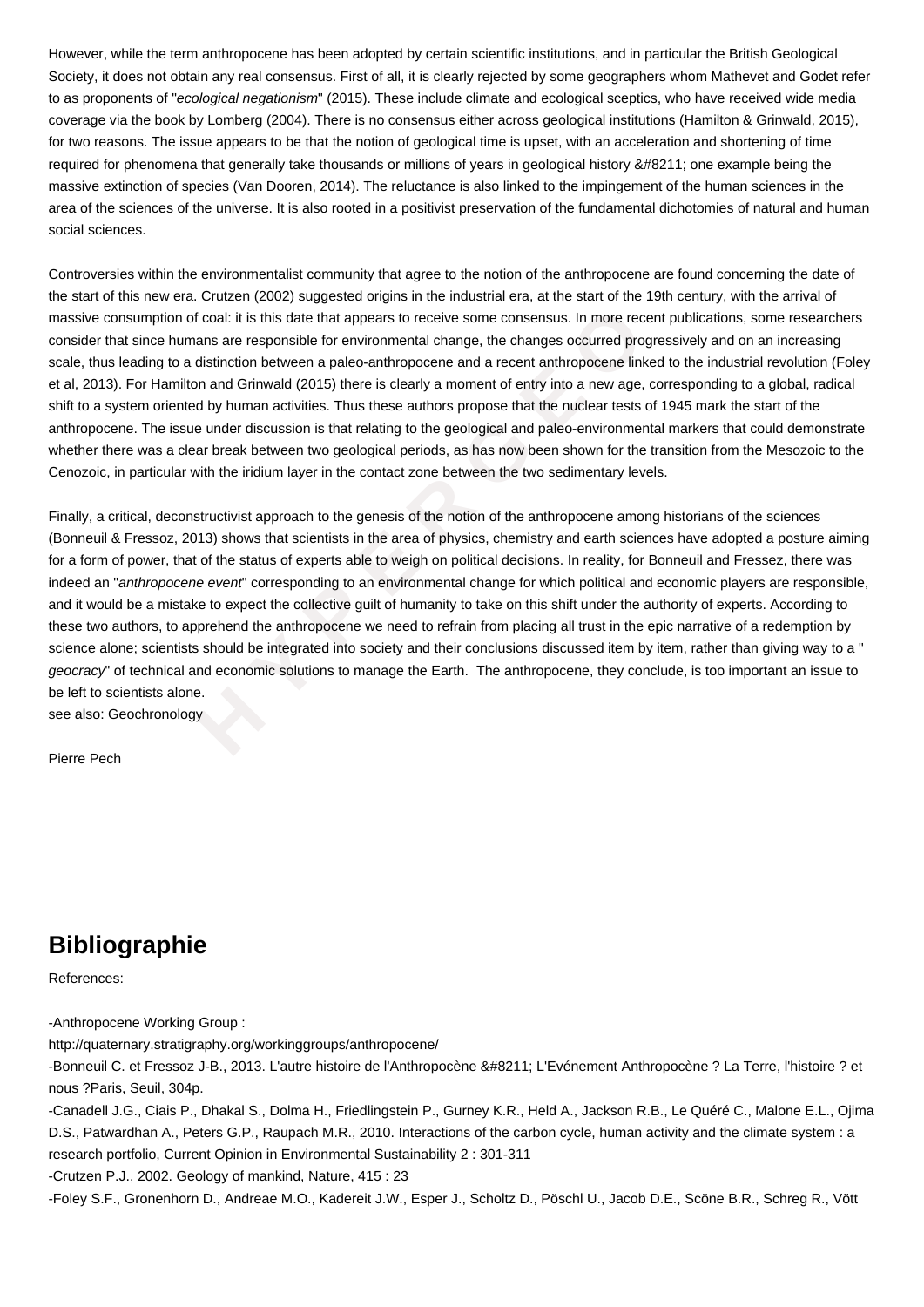However, while the term anthropocene has been adopted by certain scientific institutions, and in particular the British Geological Society, it does not obtain any real consensus. First of all, it is clearly rejected by some geographers whom Mathevet and Godet refer to as proponents of "ecological negationism" (2015). These include climate and ecological sceptics, who have received wide media coverage via the book by Lomberg (2004). There is no consensus either across geological institutions (Hamilton & Grinwald, 2015), for two reasons. The issue appears to be that the notion of geological time is upset, with an acceleration and shortening of time required for phenomena that generally take thousands or millions of years in geological history – one example being the massive extinction of species (Van Dooren, 2014). The reluctance is also linked to the impingement of the human sciences in the area of the sciences of the universe. It is also rooted in a positivist preservation of the fundamental dichotomies of natural and human social sciences.

Controversies within the environmentalist community that agree to the notion of the anthropocene are found concerning the date of the start of this new era. Crutzen (2002) suggested origins in the industrial era, at the start of the 19th century, with the arrival of massive consumption of coal: it is this date that appears to receive some consensus. In more recent publications, some researchers consider that since humans are responsible for environmental change, the changes occurred progressively and on an increasing scale, thus leading to a distinction between a paleo-anthropocene and a recent anthropocene linked to the industrial revolution (Foley et al, 2013). For Hamilton and Grinwald (2015) there is clearly a moment of entry into a new age, corresponding to a global, radical shift to a system oriented by human activities. Thus these authors propose that the nuclear tests of 1945 mark the start of the anthropocene. The issue under discussion is that relating to the geological and paleo-environmental markers that could demonstrate whether there was a clear break between two geological periods, as has now been shown for the transition from the Mesozoic to the Cenozoic, in particular with the iridium layer in the contact zone between the two sedimentary levels.

proposition of coal: it is this date that appears to receive some consensus. In more recent<br> **E** te humans are responsible for environmental change, the changes occurred progres<br>  $\alpha$  to a distinction between a paleo-anthr Finally, a critical, deconstructivist approach to the genesis of the notion of the anthropocene among historians of the sciences (Bonneuil & Fressoz, 2013) shows that scientists in the area of physics, chemistry and earth sciences have adopted a posture aiming for a form of power, that of the status of experts able to weigh on political decisions. In reality, for Bonneuil and Fressez, there was indeed an "anthropocene event" corresponding to an environmental change for which political and economic players are responsible, and it would be a mistake to expect the collective guilt of humanity to take on this shift under the authority of experts. According to these two authors, to apprehend the anthropocene we need to refrain from placing all trust in the epic narrative of a redemption by science alone; scientists should be integrated into society and their conclusions discussed item by item, rather than giving way to a " geocracy" of technical and economic solutions to manage the Earth. The anthropocene, they conclude, is too important an issue to be left to scientists alone.

see also: Geochronology

Pierre Pech

## **Bibliographie**

References:

-Anthropocene Working Group :

http://quaternary.stratigraphy.org/workinggroups/anthropocene/

-Bonneuil C. et Fressoz J-B., 2013. L'autre histoire de l'Anthropocène – L'Evénement Anthropocène ? La Terre, l'histoire ? et nous ?Paris, Seuil, 304p.

-Canadell J.G., Ciais P., Dhakal S., Dolma H., Friedlingstein P., Gurney K.R., Held A., Jackson R.B., Le Quéré C., Malone E.L., Ojima D.S., Patwardhan A., Peters G.P., Raupach M.R., 2010. Interactions of the carbon cycle, human activity and the climate system : a research portfolio, Current Opinion in Environmental Sustainability 2 : 301-311

-Crutzen P.J., 2002. Geology of mankind, Nature, 415 : 23

-Foley S.F., Gronenhorn D., Andreae M.O., Kadereit J.W., Esper J., Scholtz D., Pöschl U., Jacob D.E., Scöne B.R., Schreg R., Vött